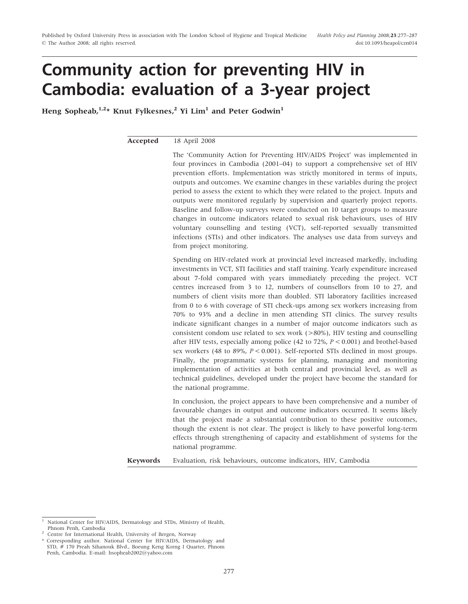# Community action for preventing HIV in Cambodia: evaluation of a 3-year project

Heng Sopheab,<sup>1,2\*</sup> Knut Fylkesnes,<sup>2</sup> Yi Lim<sup>1</sup> and Peter Godwin<sup>1</sup>

Accepted 18 April 2008

The 'Community Action for Preventing HIV/AIDS Project' was implemented in four provinces in Cambodia (2001–04) to support a comprehensive set of HIV prevention efforts. Implementation was strictly monitored in terms of inputs, outputs and outcomes. We examine changes in these variables during the project period to assess the extent to which they were related to the project. Inputs and outputs were monitored regularly by supervision and quarterly project reports. Baseline and follow-up surveys were conducted on 10 target groups to measure changes in outcome indicators related to sexual risk behaviours, uses of HIV voluntary counselling and testing (VCT), self-reported sexually transmitted infections (STIs) and other indicators. The analyses use data from surveys and from project monitoring.

Spending on HIV-related work at provincial level increased markedly, including investments in VCT, STI facilities and staff training. Yearly expenditure increased about 7-fold compared with years immediately preceding the project. VCT centres increased from 3 to 12, numbers of counsellors from 10 to 27, and numbers of client visits more than doubled. STI laboratory facilities increased from 0 to 6 with coverage of STI check-ups among sex workers increasing from 70% to 93% and a decline in men attending STI clinics. The survey results indicate significant changes in a number of major outcome indicators such as consistent condom use related to sex work  $(>80\%)$ , HIV testing and counselling after HIV tests, especially among police (42 to 72%,  $P < 0.001$ ) and brothel-based sex workers (48 to 89%, P < 0.001). Self-reported STIs declined in most groups. Finally, the programmatic systems for planning, managing and monitoring implementation of activities at both central and provincial level, as well as technical guidelines, developed under the project have become the standard for the national programme.

In conclusion, the project appears to have been comprehensive and a number of favourable changes in output and outcome indicators occurred. It seems likely that the project made a substantial contribution to these positive outcomes, though the extent is not clear. The project is likely to have powerful long-term effects through strengthening of capacity and establishment of systems for the national programme.

Keywords Evaluation, risk behaviours, outcome indicators, HIV, Cambodia

<sup>1</sup> National Center for HIV/AIDS, Dermatology and STDs, Ministry of Health, Phnom Penh, Cambodia<br>Centre for International Health, University of Bergen, Norway

Corresponding author. National Center for HIV/AIDS, Dermatology and STD, # 170 Preah Sihanouk Blvd., Boeung Keng Korng I Quarter, Phnom Penh, Cambodia. E-mail: hsopheab2002@yahoo.com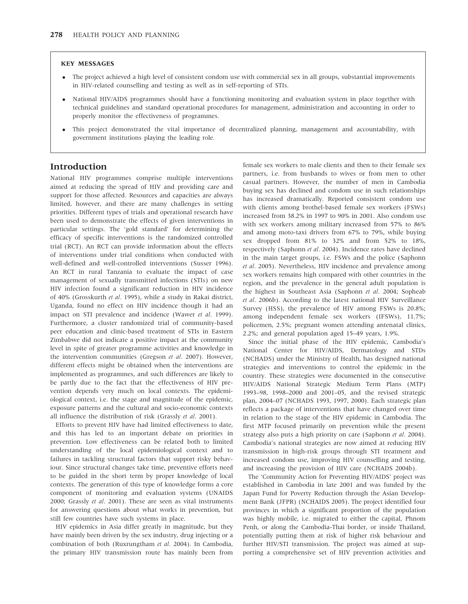#### KEY MESSAGES

- The project achieved a high level of consistent condom use with commercial sex in all groups, substantial improvements in HIV-related counselling and testing as well as in self-reporting of STIs.
- National HIV/AIDS programmes should have a functioning monitoring and evaluation system in place together with technical guidelines and standard operational procedures for management, administration and accounting in order to properly monitor the effectiveness of programmes.
- This project demonstrated the vital importance of decentralized planning, management and accountability, with government institutions playing the leading role.

# Introduction

National HIV programmes comprise multiple interventions aimed at reducing the spread of HIV and providing care and support for those affected. Resources and capacities are always limited, however, and there are many challenges in setting priorities. Different types of trials and operational research have been used to demonstrate the effects of given interventions in particular settings. The 'gold standard' for determining the efficacy of specific interventions is the randomized controlled trial (RCT). An RCT can provide information about the effects of interventions under trial conditions when conducted with well-defined and well-controlled interventions (Susser 1996). An RCT in rural Tanzania to evaluate the impact of case management of sexually transmitted infections (STIs) on new HIV infection found a significant reduction in HIV incidence of 40% (Grosskurth et al. 1995), while a study in Rakai district, Uganda, found no effect on HIV incidence though it had an impact on STI prevalence and incidence (Wawer et al. 1999). Furthermore, a cluster randomized trial of community-based peer education and clinic-based treatment of STIs in Eastern Zimbabwe did not indicate a positive impact at the community level in spite of greater programme activities and knowledge in the intervention communities (Gregson et al. 2007). However, different effects might be obtained when the interventions are implemented as programmes, and such differences are likely to be partly due to the fact that the effectiveness of HIV prevention depends very much on local contexts. The epidemiological context, i.e. the stage and magnitude of the epidemic, exposure patterns and the cultural and socio-economic contexts all influence the distribution of risk (Grassly et al. 2001).

Efforts to prevent HIV have had limited effectiveness to date, and this has led to an important debate on priorities in prevention. Low effectiveness can be related both to limited understanding of the local epidemiological context and to failures in tackling structural factors that support risky behaviour. Since structural changes take time, preventive efforts need to be guided in the short term by proper knowledge of local contexts. The generation of this type of knowledge forms a core component of monitoring and evaluation systems (UNAIDS 2000; Grassly et al. 2001). These are seen as vital instruments for answering questions about what works in prevention, but still few countries have such systems in place.

HIV epidemics in Asia differ greatly in magnitude, but they have mainly been driven by the sex industry, drug injecting or a combination of both (Ruxrungtham et al. 2004). In Cambodia, the primary HIV transmission route has mainly been from

female sex workers to male clients and then to their female sex partners, i.e. from husbands to wives or from men to other casual partners. However, the number of men in Cambodia buying sex has declined and condom use in such relationships has increased dramatically. Reported consistent condom use with clients among brothel-based female sex workers (FSWs) increased from 38.2% in 1997 to 90% in 2001. Also condom use with sex workers among military increased from 57% to 86% and among moto-taxi drivers from 67% to 79%, while buying sex dropped from 81% to 32% and from 52% to 18%, respectively (Saphonn et al. 2004). Incidence rates have declined in the main target groups, i.e. FSWs and the police (Saphonn et al. 2005). Nevertheless, HIV incidence and prevalence among sex workers remains high compared with other countries in the region, and the prevalence in the general adult population is the highest in Southeast Asia (Saphonn et al. 2004; Sopheab et al. 2006b). According to the latest national HIV Surveillance Survey (HSS), the prevalence of HIV among FSWs is 20.8%; among independent female sex workers (IFSWs), 11.7%; policemen, 2.5%; pregnant women attending antenatal clinics, 2.2%; and general population aged 15–49 years, 1.9%.

Since the initial phase of the HIV epidemic, Cambodia's National Center for HIV/AIDS, Dermatology and STDs (NCHADS) under the Ministry of Health, has designed national strategies and interventions to control the epidemic in the country. These strategies were documented in the consecutive HIV/AIDS National Strategic Medium Term Plans (MTP) 1993–98, 1998–2000 and 2001–05, and the revised strategic plan, 2004–07 (NCHADS 1993, 1997, 2000). Each strategic plan reflects a package of interventions that have changed over time in relation to the stage of the HIV epidemic in Cambodia. The first MTP focused primarily on prevention while the present strategy also puts a high priority on care (Saphonn et al. 2004). Cambodia's national strategies are now aimed at reducing HIV transmission in high-risk groups through STI treatment and increased condom use, improving HIV counselling and testing, and increasing the provision of HIV care (NCHADS 2004b).

The 'Community Action for Preventing HIV/AIDS' project was established in Cambodia in late 2001 and was funded by the Japan Fund for Poverty Reduction through the Asian Development Bank (JFPR) (NCHAIDS 2005). The project identified four provinces in which a significant proportion of the population was highly mobile, i.e. migrated to either the capital, Phnom Penh, or along the Cambodia-Thai border, or inside Thailand, potentially putting them at risk of higher risk behaviour and further HIV/STI transmission. The project was aimed at supporting a comprehensive set of HIV prevention activities and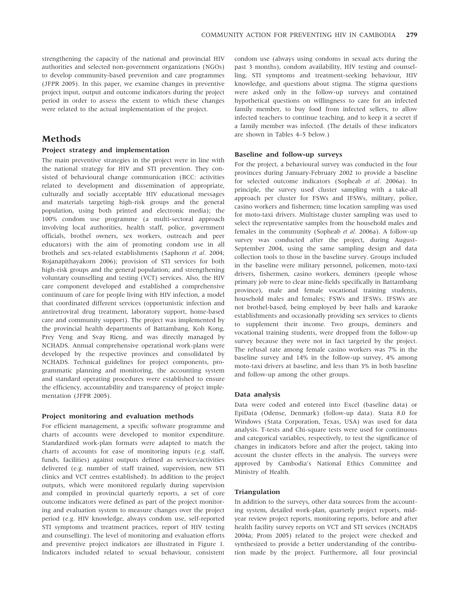strengthening the capacity of the national and provincial HIV authorities and selected non-government organizations (NGOs) to develop community-based prevention and care programmes (JFPR 2005). In this paper, we examine changes in preventive project input, output and outcome indicators during the project period in order to assess the extent to which these changes were related to the actual implementation of the project.

# Methods

## Project strategy and implementation

The main preventive strategies in the project were in line with the national strategy for HIV and STI prevention. They consisted of behavioural change communication (BCC: activities related to development and dissemination of appropriate, culturally and socially acceptable HIV educational messages and materials targeting high-risk groups and the general population, using both printed and electronic media); the 100% condom use programme (a multi-sectoral approach involving local authorities, health staff, police, government officials, brothel owners, sex workers, outreach and peer educators) with the aim of promoting condom use in all brothels and sex-related establishments (Saphonn et al. 2004; Rojanapithayakorn 2006); provision of STI services for both high-risk groups and the general population; and strengthening voluntary counselling and testing (VCT) services. Also, the HIV care component developed and established a comprehensive continuum of care for people living with HIV infection, a model that coordinated different services (opportunistic infection and antiretroviral drug treatment, laboratory support, home-based care and community support). The project was implemented by the provincial health departments of Battambang, Koh Kong, Prey Veng and Svay Rieng, and was directly managed by NCHADS. Annual comprehensive operational work-plans were developed by the respective provinces and consolidated by NCHADS. Technical guidelines for project components, programmatic planning and monitoring, the accounting system and standard operating procedures were established to ensure the efficiency, accountability and transparency of project implementation (JFPR 2005).

#### Project monitoring and evaluation methods

For efficient management, a specific software programme and charts of accounts were developed to monitor expenditure. Standardized work-plan formats were adapted to match the charts of accounts for ease of monitoring inputs (e.g. staff, funds, facilities) against outputs defined as services/activities delivered (e.g. number of staff trained, supervision, new STI clinics and VCT centres established). In addition to the project outputs, which were monitored regularly during supervision and compiled in provincial quarterly reports, a set of core outcome indicators were defined as part of the project monitoring and evaluation system to measure changes over the project period (e.g. HIV knowledge, always condom use, self-reported STI symptoms and treatment practices, report of HIV testing and counselling). The level of monitoring and evaluation efforts and preventive project indicators are illustrated in Figure 1. Indicators included related to sexual behaviour, consistent

condom use (always using condoms in sexual acts during the past 3 months), condom availability, HIV testing and counselling, STI symptoms and treatment-seeking behaviour, HIV knowledge, and questions about stigma. The stigma questions were asked only in the follow-up surveys and contained hypothetical questions on willingness to care for an infected family member, to buy food from infected sellers, to allow infected teachers to continue teaching, and to keep it a secret if a family member was infected. (The details of these indicators are shown in Tables 4–5 below.)

#### Baseline and follow-up surveys

For the project, a behavioural survey was conducted in the four provinces during January-February 2002 to provide a baseline for selected outcome indicators (Sopheab et al. 2006a). In principle, the survey used cluster sampling with a take-all approach per cluster for FSWs and IFSWs, military, police, casino workers and fishermen; time location sampling was used for moto-taxi drivers. Multistage cluster sampling was used to select the representative samples from the household males and females in the community (Sopheab et al. 2006a). A follow-up survey was conducted after the project, during August-September 2004, using the same sampling design and data collection tools to those in the baseline survey. Groups included in the baseline were military personnel, policemen, moto-taxi drivers, fishermen, casino workers, deminers (people whose primary job were to clear mine-fields specifically in Battambang province), male and female vocational training students, household males and females; FSWs and IFSWs. IFSWs are not brothel-based, being employed by beer halls and karaoke establishments and occasionally providing sex services to clients to supplement their income. Two groups, deminers and vocational training students, were dropped from the follow-up survey because they were not in fact targeted by the project. The refusal rate among female casino workers was 7% in the baseline survey and 14% in the follow-up survey, 4% among moto-taxi drivers at baseline, and less than 3% in both baseline and follow-up among the other groups.

## Data analysis

Data were coded and entered into Excel (baseline data) or EpiData (Odense, Denmark) (follow-up data). Stata 8.0 for Windows (Stata Corporation, Texas, USA) was used for data analysis. T-tests and Chi-square tests were used for continuous and categorical variables, respectively, to test the significance of changes in indicators before and after the project, taking into account the cluster effects in the analysis. The surveys were approved by Cambodia's National Ethics Committee and Ministry of Health.

## Triangulation

In addition to the surveys, other data sources from the accounting system, detailed work-plan, quarterly project reports, midyear review project reports, monitoring reports, before and after health facility survey reports on VCT and STI services (NCHADS 2004a; Prom 2005) related to the project were checked and synthesized to provide a better understanding of the contribution made by the project. Furthermore, all four provincial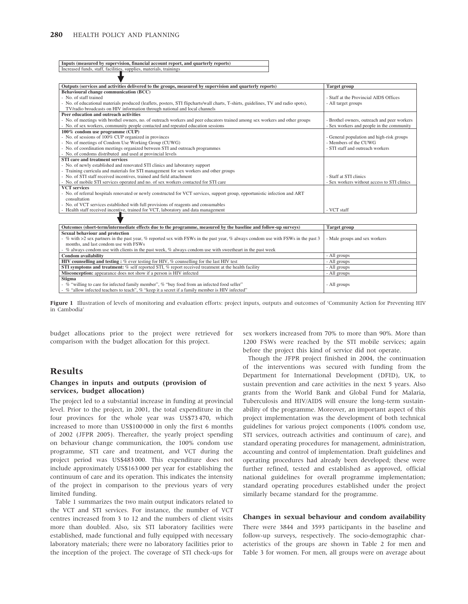| Inputs (measured by supervision, financial account report, and quarterly reports)                                                   |                                             |
|-------------------------------------------------------------------------------------------------------------------------------------|---------------------------------------------|
| Increased funds, staff, facilities, supplies, materials, trainings                                                                  |                                             |
|                                                                                                                                     |                                             |
|                                                                                                                                     |                                             |
| Outputs (services and activities delivered to the groups, measured by supervision and quarterly reports)                            | <b>Target group</b>                         |
| Behavioural change communication (BCC)                                                                                              |                                             |
| - No. of staff trained                                                                                                              | - Staff at the Provincial AIDS Offices      |
| - No. of educational materials produced (leaflets, posters, STI flipcharts/wall charts, T-shirts, guidelines, TV and radio spots),  | - All target groups                         |
| TV/radio broadcasts on HIV information through national and local channels                                                          |                                             |
| Peer education and outreach activities                                                                                              |                                             |
| - No. of meetings with brothel owners, no. of outreach workers and peer educators trained among sex workers and other groups        | - Brothel owners, outreach and peer workers |
| - No. of sex workers, community people contacted and repeated education sessions                                                    | - Sex workers and people in the community   |
| 100% condom use programme (CUP)                                                                                                     |                                             |
| - No. of sessions of 100% CUP organized in provinces                                                                                | - General population and high-risk groups   |
| - No. of meetings of Condom Use Working Group (CUWG)                                                                                | - Members of the CUWG                       |
| - No. of coordination meetings organized between STI and outreach programmes                                                        | - STI staff and outreach workers            |
| - No. of condoms distributed and used at provincial levels                                                                          |                                             |
| STI care and treatment services                                                                                                     |                                             |
| - No. of newly established and renovated STI clinics and laboratory support                                                         |                                             |
| - Training curricula and materials for STI management for sex workers and other groups                                              |                                             |
| - No. of STI staff received incentives, trained and field attachment                                                                | - Staff at STI clinics                      |
| - No. of mobile STI services operated and no. of sex workers contacted for STI care                                                 | - Sex workers without access to STI clinics |
| <b>VCT</b> services                                                                                                                 |                                             |
| - No. of referral hospitals renovated or newly constructed for VCT services, support group, opportunistic infection and ART         |                                             |
| consultation                                                                                                                        |                                             |
| - No. of VCT services established with full provisions of reagents and consumables                                                  |                                             |
| Health staff received incentive, trained for VCT, laboratory and data management                                                    | - VCT staff                                 |
|                                                                                                                                     |                                             |
| Outcomes (short-term/intermediate effects due to the programme, measured by the baseline and follow-up surveys)                     | <b>Target group</b>                         |
| Sexual behaviour and protection                                                                                                     |                                             |
| - % with $>2$ sex partners in the past year, % reported sex with FSWs in the past year, % always condom use with FSWs in the past 3 | - Male groups and sex workers               |
| months, and last condom use with FSWs                                                                                               |                                             |
| - % always condom use with clients in the past week, % always condom use with sweetheart in the past week                           |                                             |
| <b>Condom</b> availability                                                                                                          | - All groups                                |
| HIV counselling and testing : % ever testing for HIV, % counselling for the last HIV test                                           | - All groups                                |
| STI symptoms and treatment: $\%$ self reported STI, $\%$ report received treatment at the health facility                           | - All groups                                |
| Misconception: appearance does not show if a person is HIV infected                                                                 | - All groups                                |
| <b>Stigma</b>                                                                                                                       |                                             |
| - % "willing to care for infected family member", % "buy food from an infected food seller"                                         | - All groups                                |
| - % "allow infected teachers to teach", % "keep it a secret if a family member is HIV infected"                                     |                                             |

Figure 1 Illustration of levels of monitoring and evaluation efforts: project inputs, outputs and outcomes of 'Community Action for Preventing HIV in Cambodia'

budget allocations prior to the project were retrieved for comparison with the budget allocation for this project.

## Results

## Changes in inputs and outputs (provision of services, budget allocation)

The project led to a substantial increase in funding at provincial level. Prior to the project, in 2001, the total expenditure in the four provinces for the whole year was US\$73 470, which increased to more than US\$100 000 in only the first 6 months of 2002 (JFPR 2005). Thereafter, the yearly project spending on behaviour change communication, the 100% condom use programme, STI care and treatment, and VCT during the project period was US\$483 000. This expenditure does not include approximately US\$163 000 per year for establishing the continuum of care and its operation. This indicates the intensity of the project in comparison to the previous years of very limited funding.

Table 1 summarizes the two main output indicators related to the VCT and STI services. For instance, the number of VCT centres increased from 3 to 12 and the numbers of client visits more than doubled. Also, six STI laboratory facilities were established, made functional and fully equipped with necessary laboratory materials; there were no laboratory facilities prior to the inception of the project. The coverage of STI check-ups for

sex workers increased from 70% to more than 90%. More than 1200 FSWs were reached by the STI mobile services; again before the project this kind of service did not operate.

Though the JFPR project finished in 2004, the continuation of the interventions was secured with funding from the Department for International Development (DFID), UK, to sustain prevention and care activities in the next 5 years. Also grants from the World Bank and Global Fund for Malaria, Tuberculosis and HIV/AIDS will ensure the long-term sustainability of the programme. Moreover, an important aspect of this project implementation was the development of both technical guidelines for various project components (100% condom use, STI services, outreach activities and continuum of care), and standard operating procedures for management, administration, accounting and control of implementation. Draft guidelines and operating procedures had already been developed; these were further refined, tested and established as approved, official national guidelines for overall programme implementation; standard operating procedures established under the project similarly became standard for the programme.

#### Changes in sexual behaviour and condom availability

There were 3844 and 3593 participants in the baseline and follow-up surveys, respectively. The socio-demographic characteristics of the groups are shown in Table 2 for men and Table 3 for women. For men, all groups were on average about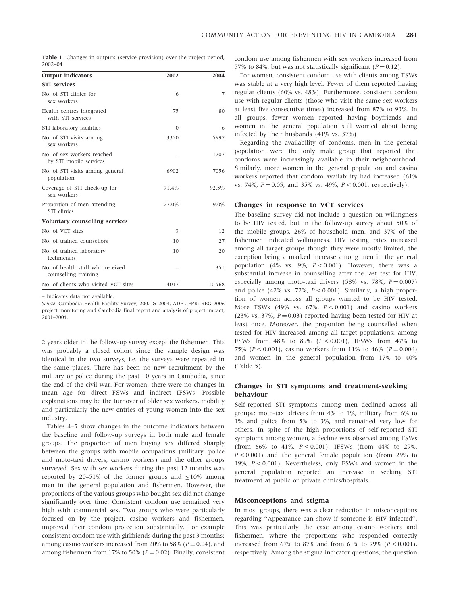|         | <b>Table 1</b> Changes in outputs (service provision) over the project period, |  |  |  |
|---------|--------------------------------------------------------------------------------|--|--|--|
| 2002–04 |                                                                                |  |  |  |

| <b>Output indicators</b>                                 | 2002     | 2004  |
|----------------------------------------------------------|----------|-------|
| <b>STI</b> services                                      |          |       |
| No. of STI clinics for<br>sex workers                    | 6        | 7     |
| Health centres integrated<br>with STI services           | 75       | 80    |
| STI laboratory facilities                                | $\Omega$ | 6     |
| No. of STI visits among<br>sex workers                   | 3350     | 5997  |
| No. of sex workers reached<br>by STI mobile services     |          | 1207  |
| No. of STI visits among general<br>population            | 6902     | 7056  |
| Coverage of STI check-up for<br>sex workers              | 71.4%    | 92.5% |
| Proportion of men attending<br>STI clinics               | 27.0%    | 9.0%  |
| Voluntary counselling services                           |          |       |
| No. of VCT sites                                         | 3        | 12    |
| No. of trained counsellors                               | 10       | 27    |
| No. of trained laboratory<br>technicians                 | 10       | 20    |
| No. of health staff who received<br>counselling training |          | 351   |
| No. of clients who visited VCT sites                     | 4017     | 10568 |

– Indicates data not available.

Source: Cambodia Health Facility Survey, 2002 & 2004, ADB-JFPR: REG 9006 project monitoring and Cambodia final report and analysis of project impact, 2001–2004.

2 years older in the follow-up survey except the fishermen. This was probably a closed cohort since the sample design was identical in the two surveys, i.e. the surveys were repeated in the same places. There has been no new recruitment by the military or police during the past 10 years in Cambodia, since the end of the civil war. For women, there were no changes in mean age for direct FSWs and indirect IFSWs. Possible explanations may be the turnover of older sex workers, mobility and particularly the new entries of young women into the sex industry.

Tables 4–5 show changes in the outcome indicators between the baseline and follow-up surveys in both male and female groups. The proportion of men buying sex differed sharply between the groups with mobile occupations (military, police and moto-taxi drivers, casino workers) and the other groups surveyed. Sex with sex workers during the past 12 months was reported by 20–51% of the former groups and  $\leq$ 10% among men in the general population and fishermen. However, the proportions of the various groups who bought sex did not change significantly over time. Consistent condom use remained very high with commercial sex. Two groups who were particularly focused on by the project, casino workers and fishermen, improved their condom protection substantially. For example consistent condom use with girlfriends during the past 3 months: among casino workers increased from 20% to 58% ( $P = 0.04$ ), and among fishermen from 17% to 50% ( $P = 0.02$ ). Finally, consistent condom use among fishermen with sex workers increased from 57% to 84%, but was not statistically significant ( $P = 0.12$ ).

For women, consistent condom use with clients among FSWs was stable at a very high level. Fewer of them reported having regular clients (60% vs. 48%). Furthermore, consistent condom use with regular clients (those who visit the same sex workers at least five consecutive times) increased from 87% to 93%. In all groups, fewer women reported having boyfriends and women in the general population still worried about being infected by their husbands (41% vs. 37%)

Regarding the availability of condoms, men in the general population were the only male group that reported that condoms were increasingly available in their neighbourhood. Similarly, more women in the general population and casino workers reported that condom availability had increased (61% vs. 74%,  $P = 0.05$ , and 35% vs. 49%,  $P < 0.001$ , respectively).

#### Changes in response to VCT services

The baseline survey did not include a question on willingness to be HIV tested, but in the follow-up survey about 50% of the mobile groups, 26% of household men, and 37% of the fishermen indicated willingness. HIV testing rates increased among all target groups though they were mostly limited, the exception being a marked increase among men in the general population (4% vs. 9%,  $P < 0.001$ ). However, there was a substantial increase in counselling after the last test for HIV, especially among moto-taxi drivers (58% vs. 78%,  $P = 0.007$ ) and police (42% vs. 72%,  $P < 0.001$ ). Similarly, a high proportion of women across all groups wanted to be HIV tested. More FSWs (49% vs.  $67\%$ ,  $P < 0.001$ ) and casino workers (23% vs. 37%,  $P = 0.03$ ) reported having been tested for HIV at least once. Moreover, the proportion being counselled when tested for HIV increased among all target populations: among FSWs from 48% to 89% ( $P < 0.001$ ), IFSWs from 47% to 75% ( $P < 0.001$ ), casino workers from 11% to 46% ( $P = 0.006$ ) and women in the general population from 17% to 40% (Table 5).

## Changes in STI symptoms and treatment-seeking behaviour

Self-reported STI symptoms among men declined across all groups: moto-taxi drivers from 4% to 1%, military from 6% to 1% and police from 5% to 3%, and remained very low for others. In spite of the high proportions of self-reported STI symptoms among women, a decline was observed among FSWs (from 66% to 41%,  $P < 0.001$ ), IFSWs (from 44% to 29%,  $P < 0.001$ ) and the general female population (from 29% to 19%,  $P < 0.001$ ). Nevertheless, only FSWs and women in the general population reported an increase in seeking STI treatment at public or private clinics/hospitals.

#### Misconceptions and stigma

In most groups, there was a clear reduction in misconceptions regarding ''Appearance can show if someone is HIV infected''. This was particularly the case among casino workers and fishermen, where the proportions who responded correctly increased from 67% to 87% and from 61% to 79% ( $P < 0.001$ ), respectively. Among the stigma indicator questions, the question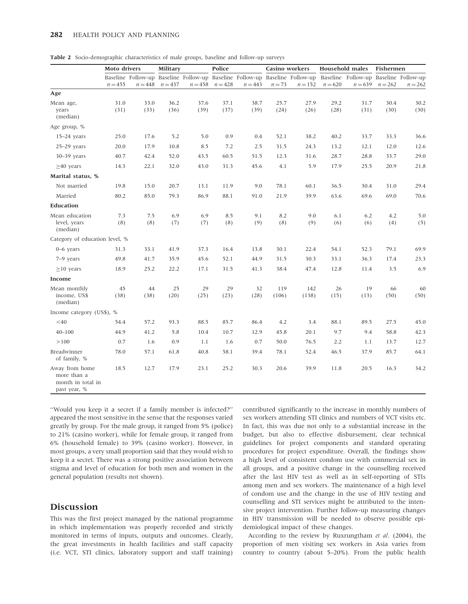|                                                                    | Moto drivers |              | <b>Military</b> |              | Police       |                                                                                          | <b>Casino workers</b> |              | <b>Household males</b> |                                                    | Fishermen    |              |
|--------------------------------------------------------------------|--------------|--------------|-----------------|--------------|--------------|------------------------------------------------------------------------------------------|-----------------------|--------------|------------------------|----------------------------------------------------|--------------|--------------|
|                                                                    | $n = 455$    | $n = 448$    | $n = 437$       | $n = 458$    | $n = 428$    | Baseline Follow-up Baseline Follow-up Baseline Follow-up Baseline Follow-up<br>$n = 443$ | $n = 73$              | $n = 152$    | $n = 620$              | Baseline Follow-up Baseline Follow-up<br>$n = 639$ | $n = 262$    | $n = 262$    |
| Age                                                                |              |              |                 |              |              |                                                                                          |                       |              |                        |                                                    |              |              |
| Mean age,<br>years<br>(median)                                     | 31.0<br>(31) | 33.0<br>(33) | 36.2<br>(36)    | 37.6<br>(39) | 37.1<br>(37) | 38.7<br>(39)                                                                             | 25.7<br>(24)          | 27.9<br>(26) | 29.2<br>(28)           | 31.7<br>(31)                                       | 30.4<br>(30) | 30.2<br>(30) |
| Age group, %                                                       |              |              |                 |              |              |                                                                                          |                       |              |                        |                                                    |              |              |
| $15-24$ years                                                      | 25.0         | 17.6         | 5.2             | 5.0          | 0.9          | 0.4                                                                                      | 52.1                  | 38.2         | 40.2                   | 33.7                                               | 33.3         | 36.6         |
| $25-29$ years                                                      | 20.0         | 17.9         | 10.8            | 8.5          | 7.2          | 2.5                                                                                      | 31.5                  | 24.3         | 13.2                   | 12.1                                               | 12.0         | 12.6         |
| $30 - 39$ years                                                    | 40.7         | 42.4         | 52.0            | 43.5         | 60.5         | 51.5                                                                                     | 12.3                  | 31.6         | 28.7                   | 28.8                                               | 33.7         | 29.0         |
| $\geq$ 40 years                                                    | 14.3         | 22.1         | 32.0            | 43.0         | 31.3         | 45.6                                                                                     | 4.1                   | 5.9          | 17.9                   | 25.5                                               | 20.9         | 21.8         |
| Marital status, %                                                  |              |              |                 |              |              |                                                                                          |                       |              |                        |                                                    |              |              |
| Not married                                                        | 19.8         | 15.0         | 20.7            | 13.1         | 11.9         | 9.0                                                                                      | 78.1                  | 60.1         | 36.5                   | 30.4                                               | 31.0         | 29.4         |
| Married                                                            | 80.2         | 85.0         | 79.3            | 86.9         | 88.1         | 91.0                                                                                     | 21.9                  | 39.9         | 63.6                   | 69.6                                               | 69.0         | 70.6         |
| Education                                                          |              |              |                 |              |              |                                                                                          |                       |              |                        |                                                    |              |              |
| Mean education<br>level, years<br>(median)                         | 7.3<br>(8)   | 7.5<br>(8)   | 6.9<br>(7)      | 6.9<br>(7)   | 8.5<br>(8)   | 9.1<br>(9)                                                                               | 8.2<br>(8)            | 9.0<br>(9)   | 6.1<br>(6)             | 6.2<br>(6)                                         | 4.2<br>(4)   | 5.0<br>(5)   |
| Category of education level, %                                     |              |              |                 |              |              |                                                                                          |                       |              |                        |                                                    |              |              |
| $0 - 6$ years                                                      | 31.3         | 33.1         | 41.9            | 37.3         | 16.4         | 13.8                                                                                     | 30.1                  | 22.4         | 54.1                   | 52.3                                               | 79.1         | 69.9         |
| 7-9 years                                                          | 49.8         | 41.7         | 35.9            | 45.6         | 52.1         | 44.9                                                                                     | 31.5                  | 30.3         | 33.1                   | 36.3                                               | 17.4         | 23.3         |
| $\geq$ 10 years                                                    | 18.9         | 25.2         | 22.2            | 17.1         | 31.5         | 41.3                                                                                     | 38.4                  | 47.4         | 12.8                   | 11.4                                               | 3.5          | 6.9          |
| Income                                                             |              |              |                 |              |              |                                                                                          |                       |              |                        |                                                    |              |              |
| Mean monthly<br>income, US\$<br>(median)                           | 45<br>(38)   | 44<br>(38)   | 25<br>(20)      | 29<br>(25)   | 29<br>(23)   | 32<br>(28)                                                                               | 119<br>(106)          | 142<br>(138) | 26<br>(15)             | 19<br>(13)                                         | 66<br>(50)   | 60<br>(50)   |
| Income category (US\$), %                                          |              |              |                 |              |              |                                                                                          |                       |              |                        |                                                    |              |              |
| $<$ 40                                                             | 54.4         | 57.2         | 93.3            | 88.5         | 85.7         | 86.4                                                                                     | 4.2                   | 3.4          | 88.1                   | 89.5                                               | 27.5         | 45.0         |
| $40 - 100$                                                         | 44.9         | 41.2         | 5.8             | 10.4         | 10.7         | 12.9                                                                                     | 45.8                  | 20.1         | 9.7                    | 9.4                                                | 58.8         | 42.3         |
| >100                                                               | 0.7          | 1.6          | 0.9             | 1.1          | 1.6          | 0.7                                                                                      | 50.0                  | 76.5         | 2.2                    | 1.1                                                | 13.7         | 12.7         |
| Breadwinner<br>of family, %                                        | 78.0         | 57.1         | 61.8            | 40.8         | 58.1         | 39.4                                                                                     | 78.1                  | 52.4         | 46.5                   | 37.9                                               | 85.7         | 64.1         |
| Away from home<br>more than a<br>month in total in<br>past year, % | 18.5         | 12.7         | 17.9            | 23.1         | 25.2         | 30.3                                                                                     | 20.6                  | 39.9         | 11.8                   | 20.5                                               | 16.3         | 34.2         |

|  | Table 2 Socio-demographic characteristics of male groups, baseline and follow-up surveys |  |  |  |  |  |  |  |
|--|------------------------------------------------------------------------------------------|--|--|--|--|--|--|--|
|--|------------------------------------------------------------------------------------------|--|--|--|--|--|--|--|

''Would you keep it a secret if a family member is infected?'' appeared the most sensitive in the sense that the responses varied greatly by group. For the male group, it ranged from 5% (police) to 21% (casino worker), while for female group, it ranged from 6% (household female) to 39% (casino worker). However, in most groups, a very small proportion said that they would wish to keep it a secret. There was a strong positive association between stigma and level of education for both men and women in the general population (results not shown).

# Discussion

This was the first project managed by the national programme in which implementation was properly recorded and strictly monitored in terms of inputs, outputs and outcomes. Clearly, the great investments in health facilities and staff capacity (i.e. VCT, STI clinics, laboratory support and staff training)

contributed significantly to the increase in monthly numbers of sex workers attending STI clinics and numbers of VCT visits etc. In fact, this was due not only to a substantial increase in the budget, but also to effective disbursement, clear technical guidelines for project components and standard operating procedures for project expenditure. Overall, the findings show a high level of consistent condom use with commercial sex in all groups, and a positive change in the counselling received after the last HIV test as well as in self-reporting of STIs among men and sex workers. The maintenance of a high level of condom use and the change in the use of HIV testing and counselling and STI services might be attributed to the intensive project intervention. Further follow-up measuring changes in HIV transmission will be needed to observe possible epidemiological impact of these changes.

According to the review by Ruxrungtham et al. (2004), the proportion of men visiting sex workers in Asia varies from country to country (about 5–20%). From the public health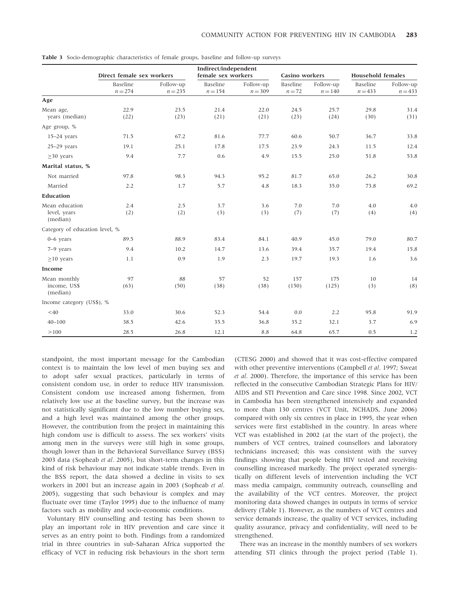|                                            | Direct female sex workers |                        | Indirect/independent<br>female sex workers |                        | <b>Casino workers</b> |                        | <b>Household females</b> |                        |  |
|--------------------------------------------|---------------------------|------------------------|--------------------------------------------|------------------------|-----------------------|------------------------|--------------------------|------------------------|--|
|                                            | Baseline<br>$n = 274$     | Follow-up<br>$n = 235$ | Baseline<br>$n = 154$                      | Follow-up<br>$n = 309$ | Baseline<br>$n = 72$  | Follow-up<br>$n = 140$ | Baseline<br>$n = 433$    | Follow-up<br>$n = 433$ |  |
| Age                                        |                           |                        |                                            |                        |                       |                        |                          |                        |  |
| Mean age,<br>years (median)                | 22.9<br>(22)              | 23.5<br>(23)           | 21.4<br>(21)                               | 22.0<br>(21)           | 24.5<br>(23)          | 25.7<br>(24)           | 29.8<br>(30)             | 31.4<br>(31)           |  |
| Age group, %                               |                           |                        |                                            |                        |                       |                        |                          |                        |  |
| $15-24$ years                              | 71.5                      | 67.2                   | 81.6                                       | 77.7                   | 60.6                  | 50.7                   | 36.7                     | 33.8                   |  |
| $25-29$ years                              | 19.1                      | 25.1                   | 17.8                                       | 17.5                   | 23.9                  | 24.3                   | 11.5                     | 12.4                   |  |
| $\geq$ 30 years                            | 9.4                       | 7.7                    | 0.6                                        | 4.9                    | 15.5                  | 25.0                   | 51.8                     | 53.8                   |  |
| Marital status, %                          |                           |                        |                                            |                        |                       |                        |                          |                        |  |
| Not married                                | 97.8                      | 98.3                   | 94.3                                       | 95.2                   | 81.7                  | 65.0                   | 26.2                     | 30.8                   |  |
| Married                                    | 2.2                       | 1.7                    | 5.7                                        | 4.8                    | 18.3                  | 35.0                   | 73.8                     | 69.2                   |  |
| <b>Education</b>                           |                           |                        |                                            |                        |                       |                        |                          |                        |  |
| Mean education<br>level, years<br>(median) | 2.4<br>(2)                | 2.5<br>(2)             | 3.7<br>(3)                                 | 3.6<br>(3)             | 7.0<br>(7)            | 7.0<br>(7)             | 4.0<br>(4)               | 4.0<br>(4)             |  |
| Category of education level, %             |                           |                        |                                            |                        |                       |                        |                          |                        |  |
| $0 - 6$ years                              | 89.5                      | 88.9                   | 83.4                                       | 84.1                   | 40.9                  | 45.0                   | 79.0                     | 80.7                   |  |
| 7-9 years                                  | 9.4                       | 10.2                   | 14.7                                       | 13.6                   | 39.4                  | 35.7                   | 19.4                     | 15.8                   |  |
| $\geq$ 10 years                            | 1.1                       | 0.9                    | 1.9                                        | 2.3                    | 19.7                  | 19.3                   | 1.6                      | 3.6                    |  |
| Income                                     |                           |                        |                                            |                        |                       |                        |                          |                        |  |
| Mean monthly<br>income, US\$<br>(median)   | 97<br>(63)                | 88<br>(50)             | 57<br>(38)                                 | 52<br>(38)             | 157<br>(150)          | 175<br>(125)           | 10<br>(3)                | 14<br>(8)              |  |
| Income category (US\$), %                  |                           |                        |                                            |                        |                       |                        |                          |                        |  |
| $<$ 40                                     | 33.0                      | 30.6                   | 52.3                                       | 54.4                   | 0.0                   | 2.2                    | 95.8                     | 91.9                   |  |
| $40 - 100$                                 | 38.5                      | 42.6                   | 35.5                                       | 36.8                   | 35.2                  | 32.1                   | 3.7                      | 6.9                    |  |
| >100                                       | 28.5                      | 26.8                   | 12.1                                       | 8.8                    | 64.8                  | 65.7                   | 0.5                      | 1.2                    |  |

Table 3 Socio-demographic characteristics of female groups, baseline and follow-up surveys

standpoint, the most important message for the Cambodian context is to maintain the low level of men buying sex and to adopt safer sexual practices, particularly in terms of consistent condom use, in order to reduce HIV transmission. Consistent condom use increased among fishermen, from relatively low use at the baseline survey, but the increase was not statistically significant due to the low number buying sex, and a high level was maintained among the other groups. However, the contribution from the project in maintaining this high condom use is difficult to assess. The sex workers' visits among men in the surveys were still high in some groups, though lower than in the Behavioral Surveillance Survey (BSS) 2003 data (Sopheab et al. 2005), but short-term changes in this kind of risk behaviour may not indicate stable trends. Even in the BSS report, the data showed a decline in visits to sex workers in 2001 but an increase again in 2003 (Sopheab et al. 2005), suggesting that such behaviour is complex and may fluctuate over time (Taylor 1995) due to the influence of many factors such as mobility and socio-economic conditions.

Voluntary HIV counselling and testing has been shown to play an important role in HIV prevention and care since it serves as an entry point to both. Findings from a randomized trial in three countries in sub-Saharan Africa supported the efficacy of VCT in reducing risk behaviours in the short term (CTESG 2000) and showed that it was cost-effective compared with other preventive interventions (Campbell et al. 1997; Sweat et al. 2000). Therefore, the importance of this service has been reflected in the consecutive Cambodian Strategic Plans for HIV/ AIDS and STI Prevention and Care since 1998. Since 2002, VCT in Cambodia has been strengthened intensively and expanded to more than 130 centres (VCT Unit, NCHADS, June 2006) compared with only six centres in place in 1995, the year when services were first established in the country. In areas where VCT was established in 2002 (at the start of the project), the numbers of VCT centres, trained counsellors and laboratory technicians increased; this was consistent with the survey findings showing that people being HIV tested and receiving counselling increased markedly. The project operated synergistically on different levels of intervention including the VCT mass media campaign, community outreach, counselling and the availability of the VCT centres. Moreover, the project monitoring data showed changes in outputs in terms of service delivery (Table 1). However, as the numbers of VCT centres and service demands increase, the quality of VCT services, including quality assurance, privacy and confidentiality, will need to be strengthened.

There was an increase in the monthly numbers of sex workers attending STI clinics through the project period (Table 1).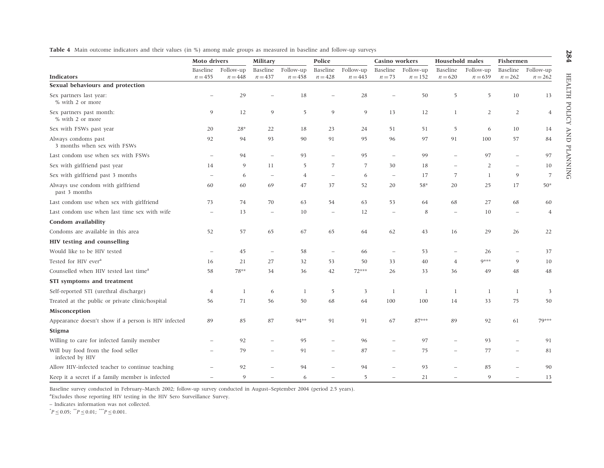|  | Table 4 Main outcome indicators and their values (in %) among male groups as measured in baseline and follow-up survey |  |  |  |  |  |  |
|--|------------------------------------------------------------------------------------------------------------------------|--|--|--|--|--|--|
|--|------------------------------------------------------------------------------------------------------------------------|--|--|--|--|--|--|

|                                                       | Moto drivers             |           | Military                 |                | Police         |                | <b>Casino workers</b>    |           | <b>Household males</b>   |              | Fishermen                |                |
|-------------------------------------------------------|--------------------------|-----------|--------------------------|----------------|----------------|----------------|--------------------------|-----------|--------------------------|--------------|--------------------------|----------------|
|                                                       | Baseline                 | Follow-up | Baseline                 | Follow-up      | Baseline       | Follow-up      | Baseline                 | Follow-up | Baseline                 | Follow-up    | Baseline                 | Follow-up      |
| <b>Indicators</b><br>Sexual behaviours and protection | $n = 455$                | $n = 448$ | $n = 437$                | $n = 458$      | $n = 428$      | $n = 443$      | $n = 73$                 | $n = 152$ | $n = 620$                | $n = 639$    | $n = 262$                | $n = 262$      |
|                                                       |                          | 29        |                          |                |                | 28             |                          |           | 5                        | 5            | 10                       | 13             |
| Sex partners last year:<br>% with 2 or more           |                          |           |                          | 18             |                |                |                          | 50        |                          |              |                          |                |
| Sex partners past month:<br>% with 2 or more          | 9                        | 12        | 9                        | 5              | 9              | 9              | 13                       | 12        | $\mathbf{I}$             | 2            | $\overline{2}$           | $\overline{4}$ |
| Sex with FSWs past year                               | 20                       | $28*$     | 22                       | 18             | 23             | 24             | 51                       | 51        | 5                        | 6            | 10                       | 14             |
| Always condoms past<br>3 months when sex with FSWs    | 92                       | 94        | 93                       | 90             | 91             | 95             | 96                       | 97        | 91                       | 100          | 57                       | 84             |
| Last condom use when sex with FSWs                    | $\overline{\phantom{a}}$ | 94        | $\overline{\phantom{a}}$ | 93             | $\overline{a}$ | 95             | $\overline{\phantom{a}}$ | 99        |                          | 97           |                          | 97             |
| Sex with girlfriend past year                         | 14                       | 9         | 11                       | 5              | $\overline{7}$ | $\overline{7}$ | 30                       | 18        |                          | 2            | $\overline{\phantom{0}}$ | 10             |
| Sex with girlfriend past 3 months                     |                          | 6         | $\overline{a}$           | $\overline{4}$ | $\equiv$       | 6              | $\overline{\phantom{a}}$ | 17        | $\overline{7}$           | -1           | 9                        | $\overline{7}$ |
| Always use condom with girlfriend<br>past 3 months    | 60                       | 60        | 69                       | 47             | 37             | 52             | 20                       | 58*       | 20                       | 25           | 17                       | $50*$          |
| Last condom use when sex with girlfriend              | 73                       | 74        | 70                       | 63             | 54             | 63             | 53                       | 64        | 68                       | 27           | 68                       | 60             |
| Last condom use when last time sex with wife          | $\overline{\phantom{0}}$ | 13        | $\overline{\phantom{a}}$ | 10             |                | 12             |                          | 8         | $\overline{\phantom{0}}$ | 10           |                          | $\overline{4}$ |
| Condom availability                                   |                          |           |                          |                |                |                |                          |           |                          |              |                          |                |
| Condoms are available in this area                    | 52                       | 57        | 65                       | 67             | 65             | 64             | 62                       | 43        | 16                       | 29           | 26                       | 22             |
| HIV testing and counselling                           |                          |           |                          |                |                |                |                          |           |                          |              |                          |                |
| Would like to be HIV tested                           | $\overline{\phantom{0}}$ | 45        | $\overline{\phantom{0}}$ | 58             | $\equiv$       | 66             | $\overline{\phantom{a}}$ | 53        |                          | 26           |                          | 37             |
| Tested for HIV ever <sup>a</sup>                      | 16                       | 21        | 27                       | 32             | 53             | 50             | 33                       | 40        | $\overline{4}$           | $9***$       | $\mathbf Q$              | 10             |
| Counselled when HIV tested last time <sup>a</sup>     | 58                       | 78**      | 34                       | 36             | 42             | $72***$        | 26                       | 33        | 36                       | 49           | 48                       | 48             |
| STI symptoms and treatment                            |                          |           |                          |                |                |                |                          |           |                          |              |                          |                |
| Self-reported STI (urethral discharge)                | $\overline{4}$           | -1        | 6                        | 1              | 5              | 3              | -1                       | 1         | $\mathbf{I}$             | $\mathbf{I}$ | $\mathbf{I}$             | 3              |
| Treated at the public or private clinic/hospital      | 56                       | 71        | 56                       | 50             | 68             | 64             | 100                      | 100       | 14                       | 33           | 75                       | 50             |
| Misconception                                         |                          |           |                          |                |                |                |                          |           |                          |              |                          |                |
| Appearance doesn't show if a person is HIV infected   | 89                       | 85        | 87                       | 94**           | 91             | 91             | 67                       | $87***$   | 89                       | 92           | 61                       | $79***$        |
| <b>Stigma</b>                                         |                          |           |                          |                |                |                |                          |           |                          |              |                          |                |
| Willing to care for infected family member            |                          | 92        |                          | 95             |                | 96             |                          | 97        |                          | 93           |                          | 91             |
| Will buy food from the food seller<br>infected by HIV |                          | 79        |                          | 91             |                | 87             |                          | 75        |                          | 77           |                          | 81             |
| Allow HIV-infected teacher to continue teaching       |                          | 92        |                          | 94             |                | 94             |                          | 93        |                          | 85           |                          | 90             |
| Keep it a secret if a family member is infected       |                          | 9         |                          | 6              |                | 5              |                          | 21        |                          | 9            |                          | 13             |

Baseline survey conducted in February–March 2002; follow-up survey conducted in August–September 2004 (period 2.5 years).

aExcludes those reporting HIV testing in the HIV Sero Surveillance Survey.

– Indicates information was not collected.

 $^*P \le 0.05;$   $^*P \le 0.01;$   $^*P \le 0.001.$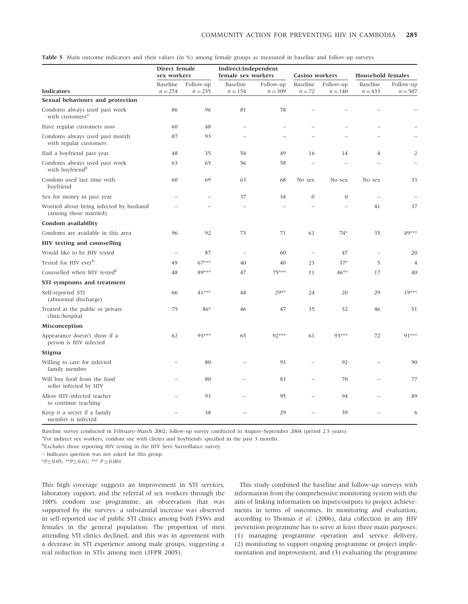|  |  | Table 5 Main outcome indicators and their values (in %) among female groups as measured in baseline and follow-up surveys |  |  |  |  |  |  |  |  |  |  |
|--|--|---------------------------------------------------------------------------------------------------------------------------|--|--|--|--|--|--|--|--|--|--|
|--|--|---------------------------------------------------------------------------------------------------------------------------|--|--|--|--|--|--|--|--|--|--|

|                                                                  | Direct female<br>sex workers |           | Indirect/independent<br>female sex workers |                          | Casino workers |              | <b>Household females</b> |                |
|------------------------------------------------------------------|------------------------------|-----------|--------------------------------------------|--------------------------|----------------|--------------|--------------------------|----------------|
|                                                                  | Baseline                     | Follow-up | Baseline                                   | Follow-up                | Baseline       | Follow-up    | Baseline                 | Follow-up      |
| <b>Indicators</b>                                                | $n = 274$                    | $n = 235$ | $n = 154$                                  | $n = 309$                | $n = 72$       | $n = 140$    | $n = 433$                | $n = 507$      |
| Sexual behaviours and protection                                 |                              |           |                                            |                          |                |              |                          |                |
| Condoms always used past week<br>with customers <sup>a</sup>     | 86                           | 96        | 81                                         | 78                       |                |              |                          |                |
| Have regular customers now                                       | 60                           | 48        | $\overline{\phantom{0}}$                   | $\overline{\phantom{0}}$ |                |              |                          |                |
| Condoms always used past month<br>with regular customers         | 87                           | 93        |                                            |                          |                |              |                          |                |
| Had a boyfriend past year                                        | 48                           | 35        | 54                                         | 49                       | 16             | 14           | $\overline{4}$           | 2              |
| Condoms always used past week<br>with boyfriend <sup>b</sup>     | 63                           | 65        | 56                                         | 58                       |                |              |                          |                |
| Condom used last time with<br>boyfriend                          | 60                           | 69        | 63                                         | 68                       | No sex         | No sex       | No sex                   | 33             |
| Sex for money in past year                                       |                              |           | 37                                         | 34                       | $\mathbf{0}$   | $\mathbf{0}$ |                          |                |
| Worried about being infected by husband<br>(among those married) |                              |           |                                            |                          |                |              | 41                       | 37             |
| Condom availability                                              |                              |           |                                            |                          |                |              |                          |                |
| Condoms are available in this area                               | 96                           | 92        | 73                                         | 71                       | 61             | $74*$        | 35                       | 49***          |
| HIV testing and counselling                                      |                              |           |                                            |                          |                |              |                          |                |
| Would like to be HIV tested                                      | $\qquad \qquad -$            | 87        | $\overline{\phantom{a}}$                   | 60                       |                | 47           | ÷                        | 20             |
| Tested for HIV ever <sup>b</sup>                                 | 49                           | $67***$   | 40                                         | 40                       | 23             | $37*$        | 5                        | $\overline{4}$ |
| Counselled when HIV tested <sup>b</sup>                          | 48                           | 89***     | 47                                         | $75***$                  | 11             | $46***$      | 17                       | 40             |
| STI symptoms and treatment                                       |                              |           |                                            |                          |                |              |                          |                |
| Self-reported STI<br>(abnormal discharge)                        | 66                           | $41***$   | 44                                         | $29**$                   | 24             | 20           | 29                       | $19***$        |
| Treated at the public or private<br>clinic/hospital              | 75                           | $86*$     | 46                                         | 47                       | 35             | 32           | 46                       | 51             |
| Misconception                                                    |                              |           |                                            |                          |                |              |                          |                |
| Appearance doesn't show if a<br>person is HIV infected           | 62                           | 93***     | 65                                         | $92***$                  | 61             | 93***        | 72                       | $91***$        |
| <b>Stigma</b>                                                    |                              |           |                                            |                          |                |              |                          |                |
| Willing to care for infected<br>family member                    |                              | 80        |                                            | 93                       |                | 92           |                          | 90             |
| Will buy food from the food<br>seller infected by HIV            |                              | 80        |                                            | 83                       |                | 70           |                          | 77             |
| Allow HIV-infected teacher<br>to continue teaching               |                              | 93        |                                            | 95                       |                | 94           |                          | 89             |
| Keep it a secret if a family<br>member is infected               |                              | 38        |                                            | 29                       |                | 39           |                          | 6              |

Baseline survey conducted in February–March 2002; follow-up survey conducted in August–September 2004 (period 2.5 years).

<sup>a</sup>For indirect sex workers, condom use with clients and boyfriends specified in the past 3 months.

**Excludes those reporting HIV testing in the HIV Sero Surveillance survey.** 

– Indicates question was not asked for this group.

 $*P \leq 0.05$ ;  $*P \leq 0.01$ ;  $**P \leq 0.001$ .

This high coverage suggests an improvement in STI services, laboratory support, and the referral of sex workers through the 100% condom use programme, an observation that was supported by the surveys: a substantial increase was observed in self-reported use of public STI clinics among both FSWs and females in the general population. The proportion of men attending STI clinics declined, and this was in agreement with a decrease in STI experience among male groups, suggesting a real reduction in STIs among men (JFPR 2005).

This study combined the baseline and follow-up surveys with information from the comprehensive monitoring system with the aim of linking information on inputs/outputs to project achievements in terms of outcomes. In monitoring and evaluation, according to Thomas et al. (2006), data collection in any HIV prevention programme has to serve at least three main purposes: (1) managing programme operation and service delivery, (2) monitoring to support ongoing programme or project implementation and improvement, and (3) evaluating the programme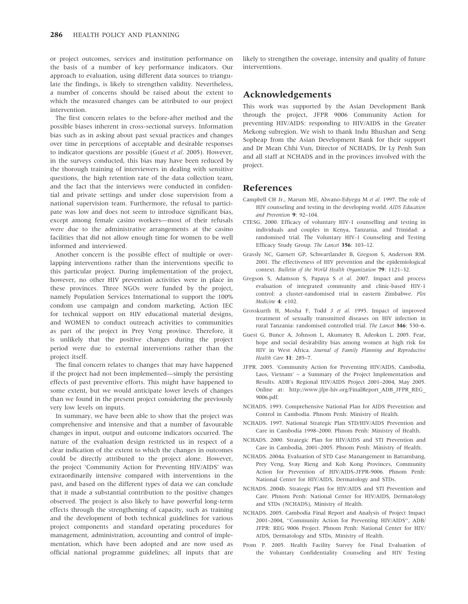or project outcomes, services and institution performance on the basis of a number of key performance indicators. Our approach to evaluation, using different data sources to triangulate the findings, is likely to strengthen validity. Nevertheless, a number of concerns should be raised about the extent to which the measured changes can be attributed to our project intervention.

The first concern relates to the before-after method and the possible biases inherent in cross-sectional surveys. Information bias such as in asking about past sexual practices and changes over time in perceptions of acceptable and desirable responses to indicator questions are possible (Guest et al. 2005). However, in the surveys conducted, this bias may have been reduced by the thorough training of interviewers in dealing with sensitive questions, the high retention rate of the data collection team, and the fact that the interviews were conducted in confidential and private settings and under close supervision from a national supervision team. Furthermore, the refusal to participate was low and does not seem to introduce significant bias, except among female casino workers—most of their refusals were due to the administrative arrangements at the casino facilities that did not allow enough time for women to be well informed and interviewed.

Another concern is the possible effect of multiple or overlapping interventions rather than the interventions specific to this particular project. During implementation of the project, however, no other HIV prevention activities were in place in these provinces. Three NGOs were funded by the project, namely Population Services International to support the 100% condom use campaign and condom marketing, Action IEC for technical support on HIV educational material designs, and WOMEN to conduct outreach activities to communities as part of the project in Prey Veng province. Therefore, it is unlikely that the positive changes during the project period were due to external interventions rather than the project itself.

The final concern relates to changes that may have happened if the project had not been implemented—simply the persisting effects of past preventive efforts. This might have happened to some extent, but we would anticipate lower levels of changes than we found in the present project considering the previously very low levels on inputs.

In summary, we have been able to show that the project was comprehensive and intensive and that a number of favourable changes in input, output and outcome indicators occurred. The nature of the evaluation design restricted us in respect of a clear indication of the extent to which the changes in outcomes could be directly attributed to the project alone. However, the project 'Community Action for Preventing HIV/AIDS' was extraordinarily intensive compared with interventions in the past, and based on the different types of data we can conclude that it made a substantial contribution to the positive changes observed. The project is also likely to have powerful long-term effects through the strengthening of capacity, such as training and the development of both technical guidelines for various project components and standard operating procedures for management, administration, accounting and control of implementation, which have been adopted and are now used as official national programme guidelines; all inputs that are

likely to strengthen the coverage, intensity and quality of future interventions.

## Acknowledgements

This work was supported by the Asian Development Bank through the project, JFPR 9006 Community Action for preventing HIV/AIDS: responding to HIV/AIDS in the Greater Mekong subregion. We wish to thank Indu Bhushan and Seng Sopheap from the Asian Development Bank for their support and Dr Mean Chhi Vun, Director of NCHADS, Dr Ly Penh Sun and all staff at NCHADS and in the provinces involved with the project.

## References

- Campbell CH Jr., Marum ME, Alwano-Edyegu M et al. 1997. The role of HIV counseling and testing in the developing world. AIDS Education and Prevention  $9.92-104$ .
- CTESG. 2000. Efficacy of voluntary HIV-1 counselling and testing in individuals and couples in Kenya, Tanzania, and Trinidad: a randomised trial. The Voluntary HIV-1 Counseling and Testing Efficacy Study Group. The Lancet 356: 103–12.
- Grassly NC, Garnett GP, Schwartlander B, Gregson S, Anderson RM. 2001. The effectiveness of HIV prevention and the epidemiological context. Bulletin of the World Health Organization 79: 1121–32.
- Gregson S, Adamson S, Papaya S et al. 2007. Impact and process evaluation of integrated community and clinic-based HIV-1 control: a cluster-randomised trial in eastern Zimbabwe. Plos Medicine 4: e102.
- Grosskurth H, Mosha F, Todd J et al. 1995. Impact of improved treatment of sexually transmitted diseases on HIV infection in rural Tanzania: randomised controlled trial. The Lancet 346: 530-6.
- Guest G, Bunce A, Johnson L, Akumatey B, Adeokun L. 2005. Fear, hope and social desirability bias among women at high risk for HIV in West Africa. Journal of Family Planning and Reproductive Health Care 31: 285–7.
- JFPR. 2005. 'Community Action for Preventing HIV/AIDS, Cambodia, Laos, Vietnam' – a Summary of the Project Implementation and Results. ADB's Regional HIV/AIDS Project 2001–2004, May 2005. Online at: [http://www.jfpr-hiv.org/FinalReport\\_ADB\\_JFPR\\_REG\\_](http://www.jfpr-hiv.org/FinalReport_ADB_JFPR_REG_) 9006.pdf.
- NCHADS. 1993. Comprehensive National Plan for AIDS Prevention and Control in Cambodia. Phnom Penh: Ministry of Health.
- NCHADS. 1997. National Strategic Plan STD/HIV/AIDS Prevention and Care in Cambodia 1998–2000. Phnom Penh: Ministry of Health.
- NCHADS. 2000. Strategic Plan for HIV/AIDS and STI Prevention and Care in Cambodia, 2001–2005. Phnom Penh: Ministry of Health.
- NCHADS. 2004a. Evaluation of STD Case Manangement in Battambang, Prey Veng, Svay Rieng and Koh Kong Provinces, Community Action for Prevention of HIV/AIDS-JFPR-9006. Phnom Penh: National Center for HIV/AIDS, Dermatology and STDs.
- NCHADS. 2004b. Strategic Plan for HIV/AIDS and STI Prevention and Care. Phnom Penh: National Center for HIV/AIDS, Dermatology and STDs (NCHADS), Ministry of Health.
- NCHADS. 2005. Cambodia Final Report and Analysis of Project Impact 2001–2004, ''Community Action for Preventing HIV/AIDS'', ADB/ JFPR: REG 9006 Project. Phnom Penh: National Center for HIV/ AIDS, Dermatology and STDs, Ministry of Health.
- Prom P. 2005. Health Facility Survey for Final Evaluation of the Voluntary Confidentiality Counseling and HIV Testing